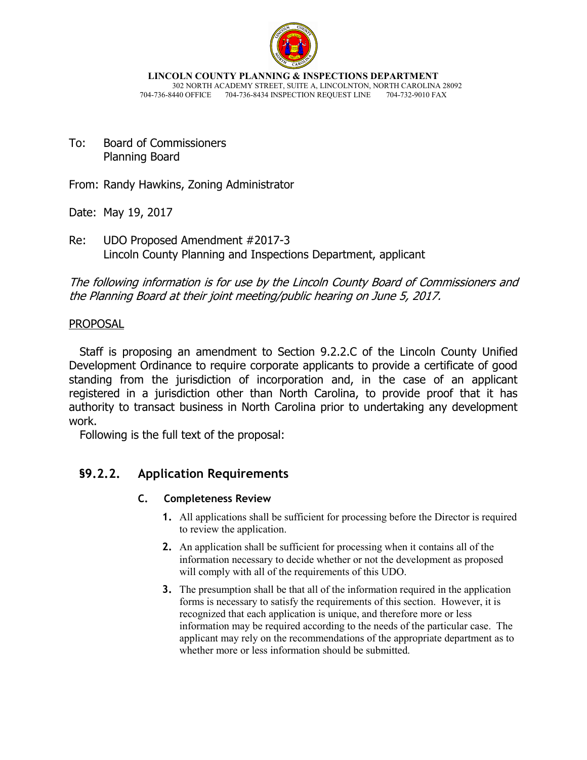

**LINCOLN COUNTY PLANNING & INSPECTIONS DEPARTMENT** 302 NORTH ACADEMY STREET, SUITE A, LINCOLNTON, NORTH CAROLINA 28092 704-736-8440 OFFICE 704-736-8434 INSPECTION REQUEST LINE 704-732-9010 FAX

To: Board of Commissioners Planning Board

From: Randy Hawkins, Zoning Administrator

Date: May 19, 2017

Re: UDO Proposed Amendment #2017-3 Lincoln County Planning and Inspections Department, applicant

The following information is for use by the Lincoln County Board of Commissioners and the Planning Board at their joint meeting/public hearing on June 5, 2017.

### **PROPOSAL**

 Staff is proposing an amendment to Section 9.2.2.C of the Lincoln County Unified Development Ordinance to require corporate applicants to provide a certificate of good standing from the jurisdiction of incorporation and, in the case of an applicant registered in a jurisdiction other than North Carolina, to provide proof that it has authority to transact business in North Carolina prior to undertaking any development work.

Following is the full text of the proposal:

## **§9.2.2. Application Requirements**

### **C. Completeness Review**

- **1.** All applications shall be sufficient for processing before the Director is required to review the application.
- **2.** An application shall be sufficient for processing when it contains all of the information necessary to decide whether or not the development as proposed will comply with all of the requirements of this UDO.
- **3.** The presumption shall be that all of the information required in the application forms is necessary to satisfy the requirements of this section. However, it is recognized that each application is unique, and therefore more or less information may be required according to the needs of the particular case. The applicant may rely on the recommendations of the appropriate department as to whether more or less information should be submitted.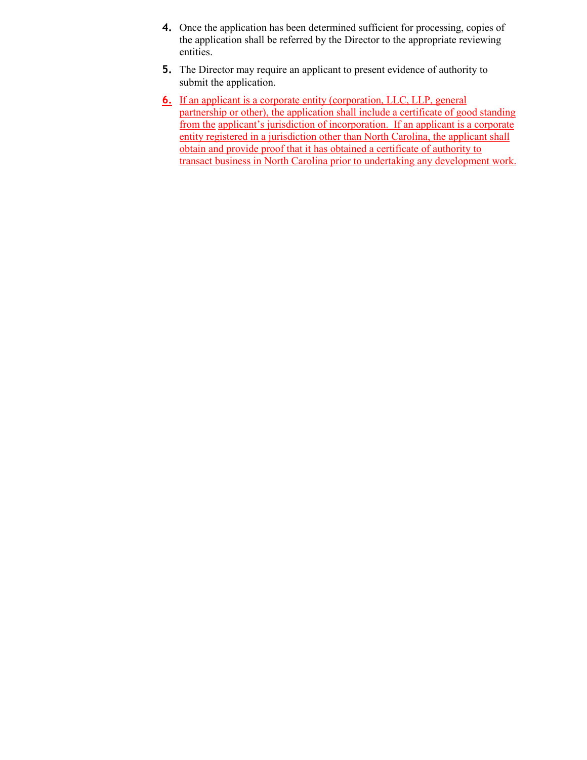- **4.** Once the application has been determined sufficient for processing, copies of the application shall be referred by the Director to the appropriate reviewing entities.
- **5.** The Director may require an applicant to present evidence of authority to submit the application.
- **6.** If an applicant is a corporate entity (corporation, LLC, LLP, general partnership or other), the application shall include a certificate of good standing from the applicant's jurisdiction of incorporation. If an applicant is a corporate entity registered in a jurisdiction other than North Carolina, the applicant shall obtain and provide proof that it has obtained a certificate of authority to transact business in North Carolina prior to undertaking any development work.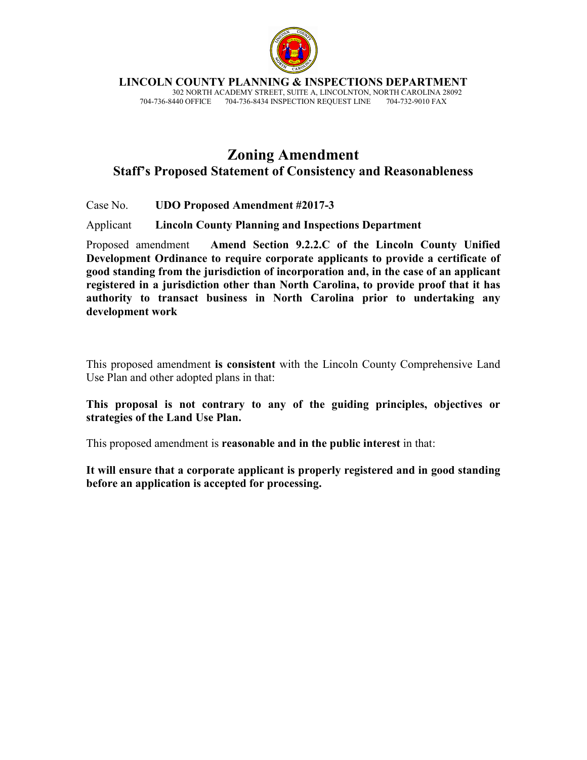

**LINCOLN COUNTY PLANNING & INSPECTIONS DEPARTMENT**

 302 NORTH ACADEMY STREET, SUITE A, LINCOLNTON, NORTH CAROLINA 28092 704-736-8440 OFFICE 704-736-8434 INSPECTION REQUEST LINE

# **Zoning Amendment Staff's Proposed Statement of Consistency and Reasonableness**

Case No. **UDO Proposed Amendment #2017-3** 

Applicant **Lincoln County Planning and Inspections Department**

Proposed amendment **Amend Section 9.2.2.C of the Lincoln County Unified Development Ordinance to require corporate applicants to provide a certificate of good standing from the jurisdiction of incorporation and, in the case of an applicant registered in a jurisdiction other than North Carolina, to provide proof that it has authority to transact business in North Carolina prior to undertaking any development work** 

This proposed amendment **is consistent** with the Lincoln County Comprehensive Land Use Plan and other adopted plans in that:

#### **This proposal is not contrary to any of the guiding principles, objectives or strategies of the Land Use Plan.**

This proposed amendment is **reasonable and in the public interest** in that:

**It will ensure that a corporate applicant is properly registered and in good standing before an application is accepted for processing.**